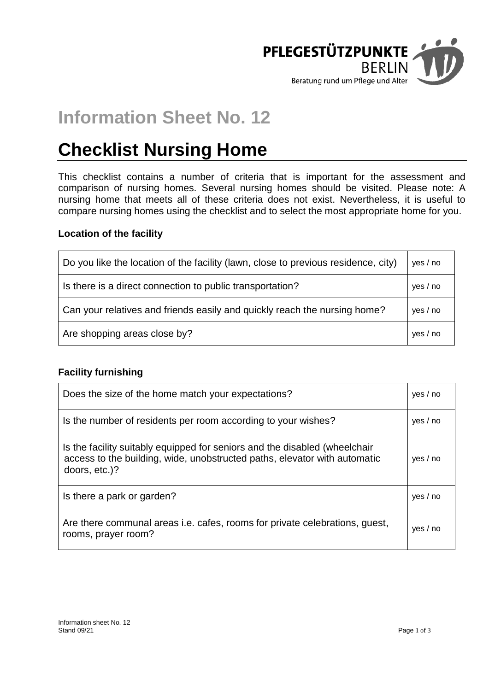

# **Information Sheet No. 12**

# **Checklist Nursing Home**

This checklist contains a number of criteria that is important for the assessment and comparison of nursing homes. Several nursing homes should be visited. Please note: A nursing home that meets all of these criteria does not exist. Nevertheless, it is useful to compare nursing homes using the checklist and to select the most appropriate home for you.

#### **Location of the facility**

| Do you like the location of the facility (lawn, close to previous residence, city) | yes / no |
|------------------------------------------------------------------------------------|----------|
| Is there is a direct connection to public transportation?                          | ves / no |
| Can your relatives and friends easily and quickly reach the nursing home?          | yes / no |
| Are shopping areas close by?                                                       | yes / no |

## **Facility furnishing**

| Does the size of the home match your expectations?                                                                                                                       | ves / no |
|--------------------------------------------------------------------------------------------------------------------------------------------------------------------------|----------|
| Is the number of residents per room according to your wishes?                                                                                                            | yes / no |
| Is the facility suitably equipped for seniors and the disabled (wheelchair<br>access to the building, wide, unobstructed paths, elevator with automatic<br>doors, etc.)? | yes / no |
| Is there a park or garden?                                                                                                                                               | ves / no |
| Are there communal areas i.e. cafes, rooms for private celebrations, guest,<br>rooms, prayer room?                                                                       | yes / no |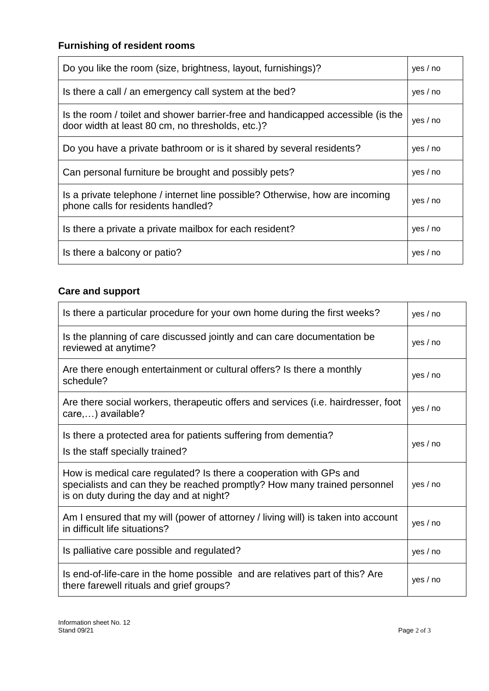# **Furnishing of resident rooms**

| Do you like the room (size, brightness, layout, furnishings)?                                                                       | ves / no |
|-------------------------------------------------------------------------------------------------------------------------------------|----------|
| Is there a call / an emergency call system at the bed?                                                                              | ves / no |
| Is the room / toilet and shower barrier-free and handicapped accessible (is the<br>door width at least 80 cm, no thresholds, etc.)? | yes / no |
| Do you have a private bathroom or is it shared by several residents?                                                                | yes / no |
| Can personal furniture be brought and possibly pets?                                                                                | ves / no |
| Is a private telephone / internet line possible? Otherwise, how are incoming<br>phone calls for residents handled?                  | yes / no |
| Is there a private a private mailbox for each resident?                                                                             | ves / no |
| Is there a balcony or patio?                                                                                                        | ves / no |

# **Care and support**

| Is there a particular procedure for your own home during the first weeks?                                                                                                                 | yes / no |
|-------------------------------------------------------------------------------------------------------------------------------------------------------------------------------------------|----------|
| Is the planning of care discussed jointly and can care documentation be<br>reviewed at anytime?                                                                                           | yes / no |
| Are there enough entertainment or cultural offers? Is there a monthly<br>schedule?                                                                                                        | yes / no |
| Are there social workers, therapeutic offers and services (i.e. hairdresser, foot<br>care,) available?                                                                                    | yes / no |
| Is there a protected area for patients suffering from dementia?<br>Is the staff specially trained?                                                                                        | yes / no |
| How is medical care regulated? Is there a cooperation with GPs and<br>specialists and can they be reached promptly? How many trained personnel<br>is on duty during the day and at night? | yes / no |
| Am I ensured that my will (power of attorney / living will) is taken into account<br>in difficult life situations?                                                                        | yes / no |
| Is palliative care possible and regulated?                                                                                                                                                | yes / no |
| Is end-of-life-care in the home possible and are relatives part of this? Are<br>there farewell rituals and grief groups?                                                                  | yes / no |